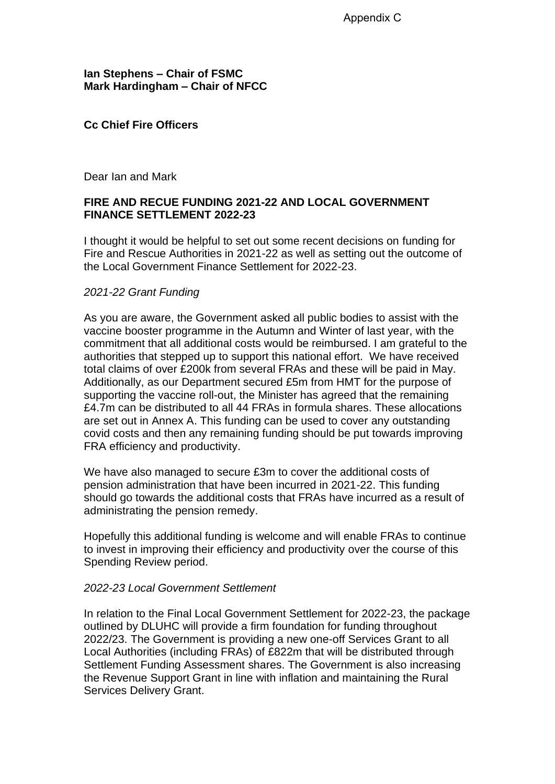**Ian Stephens – Chair of FSMC Mark Hardingham – Chair of NFCC**

### **Cc Chief Fire Officers**

Dear Ian and Mark

### **FIRE AND RECUE FUNDING 2021-22 AND LOCAL GOVERNMENT FINANCE SETTLEMENT 2022-23**

I thought it would be helpful to set out some recent decisions on funding for Fire and Rescue Authorities in 2021-22 as well as setting out the outcome of the Local Government Finance Settlement for 2022-23.

#### *2021-22 Grant Funding*

As you are aware, the Government asked all public bodies to assist with the vaccine booster programme in the Autumn and Winter of last year, with the commitment that all additional costs would be reimbursed. I am grateful to the authorities that stepped up to support this national effort. We have received total claims of over £200k from several FRAs and these will be paid in May. Additionally, as our Department secured £5m from HMT for the purpose of supporting the vaccine roll-out, the Minister has agreed that the remaining £4.7m can be distributed to all 44 FRAs in formula shares. These allocations are set out in Annex A. This funding can be used to cover any outstanding covid costs and then any remaining funding should be put towards improving FRA efficiency and productivity.

We have also managed to secure £3m to cover the additional costs of pension administration that have been incurred in 2021-22. This funding should go towards the additional costs that FRAs have incurred as a result of administrating the pension remedy.

Hopefully this additional funding is welcome and will enable FRAs to continue to invest in improving their efficiency and productivity over the course of this Spending Review period.

#### *2022-23 Local Government Settlement*

In relation to the Final Local Government Settlement for 2022-23, the package outlined by DLUHC will provide a firm foundation for funding throughout 2022/23. The Government is providing a new one-off Services Grant to all Local Authorities (including FRAs) of £822m that will be distributed through Settlement Funding Assessment shares. The Government is also increasing the Revenue Support Grant in line with inflation and maintaining the Rural Services Delivery Grant.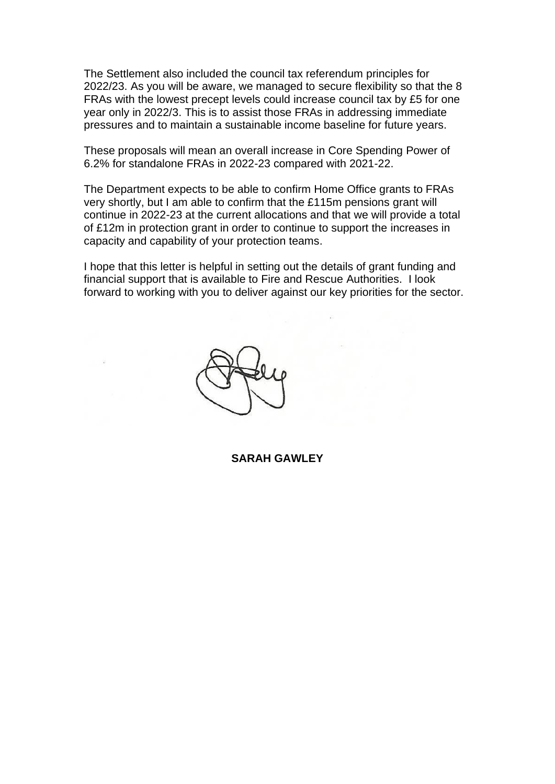The Settlement also included the council tax referendum principles for 2022/23. As you will be aware, we managed to secure flexibility so that the 8 FRAs with the lowest precept levels could increase council tax by £5 for one year only in 2022/3. This is to assist those FRAs in addressing immediate pressures and to maintain a sustainable income baseline for future years.

These proposals will mean an overall increase in Core Spending Power of 6.2% for standalone FRAs in 2022-23 compared with 2021-22.

The Department expects to be able to confirm Home Office grants to FRAs very shortly, but I am able to confirm that the £115m pensions grant will continue in 2022-23 at the current allocations and that we will provide a total of £12m in protection grant in order to continue to support the increases in capacity and capability of your protection teams.

I hope that this letter is helpful in setting out the details of grant funding and financial support that is available to Fire and Rescue Authorities. I look forward to working with you to deliver against our key priorities for the sector.



**SARAH GAWLEY**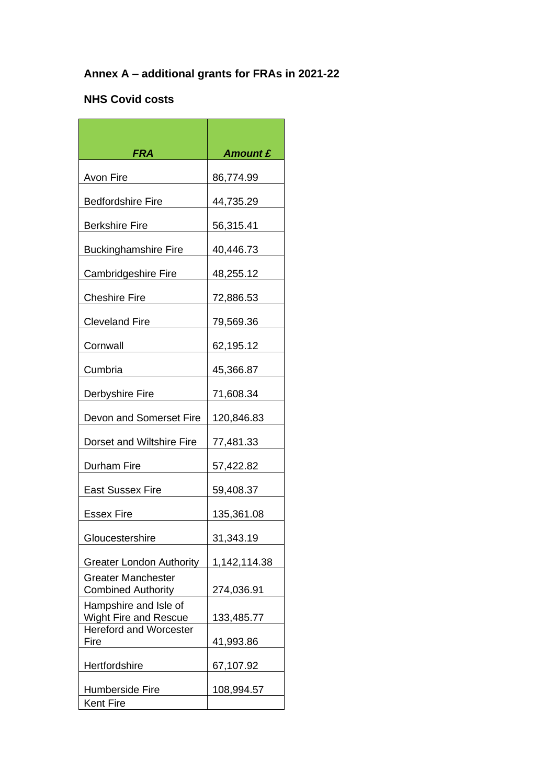# **Annex A – additional grants for FRAs in 2021-22**

## **NHS Covid costs**

| FRA                                                    | <b>Amount £</b> |
|--------------------------------------------------------|-----------------|
| Avon Fire                                              | 86,774.99       |
| <b>Bedfordshire Fire</b>                               | 44,735.29       |
| <b>Berkshire Fire</b>                                  | 56,315.41       |
| <b>Buckinghamshire Fire</b>                            | 40,446.73       |
| <b>Cambridgeshire Fire</b>                             | 48,255.12       |
| <b>Cheshire Fire</b>                                   | 72,886.53       |
| <b>Cleveland Fire</b>                                  | 79,569.36       |
| Cornwall                                               | 62,195.12       |
| Cumbria                                                | 45,366.87       |
| Derbyshire Fire                                        | 71,608.34       |
| Devon and Somerset Fire                                | 120,846.83      |
| Dorset and Wiltshire Fire                              | 77,481.33       |
| Durham Fire                                            | 57,422.82       |
| <b>East Sussex Fire</b>                                | 59,408.37       |
| Essex Fire                                             | 135,361.08      |
| Gloucestershire                                        | 31,343.19       |
| <b>Greater London Authority</b>                        | 1,142,114.38    |
| <b>Greater Manchester</b><br><b>Combined Authority</b> | 274,036.91      |
| Hampshire and Isle of<br>Wight Fire and Rescue         | 133,485.77      |
| <b>Hereford and Worcester</b><br>Fire                  | 41,993.86       |
| Hertfordshire                                          | 67,107.92       |
| <b>Humberside Fire</b>                                 | 108,994.57      |
| <b>Kent Fire</b>                                       |                 |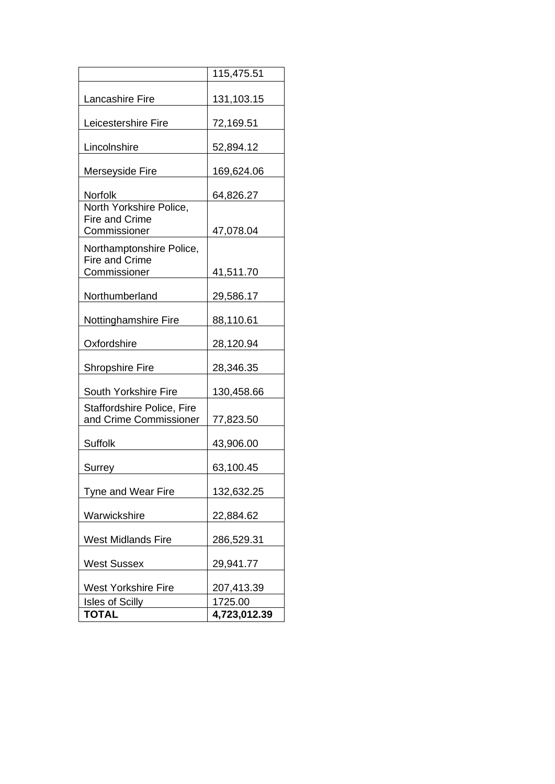|                                                      | 115,475.51   |
|------------------------------------------------------|--------------|
| <b>Lancashire Fire</b>                               | 131,103.15   |
| Leicestershire Fire                                  | 72,169.51    |
| Lincolnshire                                         | 52,894.12    |
| Merseyside Fire                                      | 169,624.06   |
| <b>Norfolk</b>                                       | 64,826.27    |
| North Yorkshire Police,<br><b>Fire and Crime</b>     |              |
| Commissioner                                         | 47,078.04    |
| Northamptonshire Police,                             |              |
| <b>Fire and Crime</b>                                |              |
| Commissioner                                         | 41,511.70    |
| Northumberland                                       | 29,586.17    |
| Nottinghamshire Fire                                 | 88,110.61    |
| Oxfordshire                                          | 28,120.94    |
| <b>Shropshire Fire</b>                               | 28,346.35    |
| South Yorkshire Fire                                 | 130,458.66   |
| Staffordshire Police, Fire<br>and Crime Commissioner | 77,823.50    |
| <b>Suffolk</b>                                       | 43,906.00    |
| Surrey                                               | 63,100.45    |
| Tyne and Wear Fire                                   | 132,632.25   |
| Warwickshire                                         | 22,884.62    |
| <b>West Midlands Fire</b>                            | 286,529.31   |
| <b>West Sussex</b>                                   | 29,941.77    |
| <b>West Yorkshire Fire</b>                           | 207,413.39   |
| <b>Isles of Scilly</b>                               | 1725.00      |
| TOTAL                                                | 4,723,012.39 |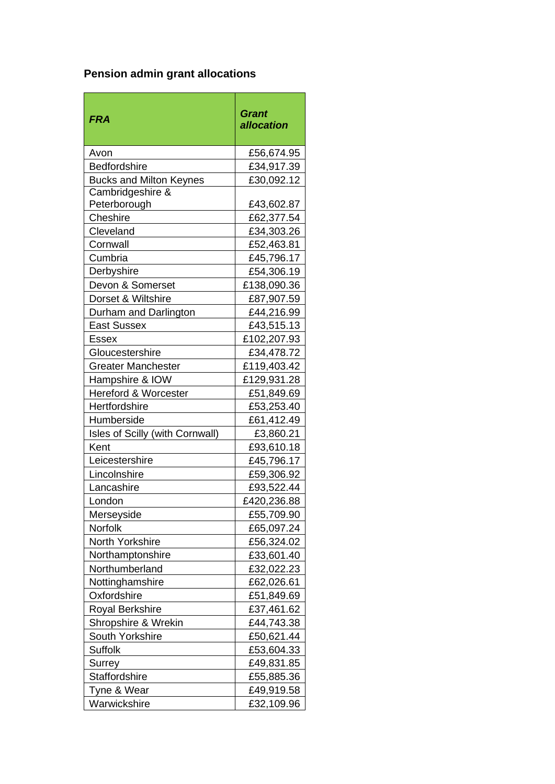# **Pension admin grant allocations**

| <b>FRA</b>                      | <b>Grant</b><br>allocation |
|---------------------------------|----------------------------|
| Avon                            | £56,674.95                 |
| Bedfordshire                    | £34,917.39                 |
| <b>Bucks and Milton Keynes</b>  | £30,092.12                 |
| Cambridgeshire &                |                            |
| Peterborough                    | £43,602.87                 |
| Cheshire                        | £62,377.54                 |
| Cleveland                       | £34,303.26                 |
| Cornwall                        | £52,463.81                 |
| Cumbria                         | £45,796.17                 |
| Derbyshire                      | £54,306.19                 |
| Devon & Somerset                | £138,090.36                |
| Dorset & Wiltshire              | £87,907.59                 |
| Durham and Darlington           | £44,216.99                 |
| <b>East Sussex</b>              | £43,515.13                 |
| Essex                           | £102,207.93                |
| Gloucestershire                 | £34,478.72                 |
| <b>Greater Manchester</b>       | £119,403.42                |
| Hampshire & IOW                 | £129,931.28                |
| <b>Hereford &amp; Worcester</b> | £51,849.69                 |
| Hertfordshire                   | £53,253.40                 |
| Humberside                      | £61,412.49                 |
| Isles of Scilly (with Cornwall) | £3,860.21                  |
| Kent                            | £93,610.18                 |
| Leicestershire                  | £45,796.17                 |
| Lincolnshire                    | £59,306.92                 |
| Lancashire                      | £93,522.44                 |
| London                          | £420,236.88                |
| Merseyside                      | £55,709.90                 |
| Norfolk                         | £65,097.24                 |
| North Yorkshire                 | £56,324.02                 |
| Northamptonshire                | £33,601.40                 |
| Northumberland                  | £32,022.23                 |
| Nottinghamshire                 | £62,026.61                 |
| Oxfordshire                     | £51,849.69                 |
| <b>Royal Berkshire</b>          | £37,461.62                 |
| Shropshire & Wrekin             | £44,743.38                 |
| South Yorkshire                 | £50,621.44                 |
| <b>Suffolk</b>                  | £53,604.33                 |
| <b>Surrey</b>                   | £49,831.85                 |
| Staffordshire                   | £55,885.36                 |
| Tyne & Wear                     | £49,919.58                 |
| Warwickshire                    | £32,109.96                 |